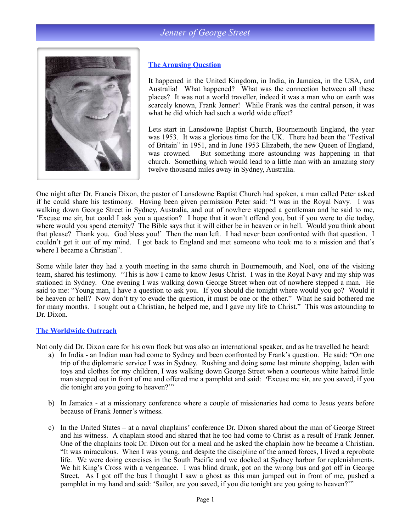# *Jenner of George Street*



#### **The Arousing Question**

It happened in the United Kingdom, in India, in Jamaica, in the USA, and Australia! What happened? What was the connection between all these places? It was not a world traveller, indeed it was a man who on earth was scarcely known, Frank Jenner! While Frank was the central person, it was what he did which had such a world wide effect?

Lets start in Lansdowne Baptist Church, Bournemouth England, the year was 1953. It was a glorious time for the UK. There had been the "Festival of Britain" in 1951, and in June 1953 Elizabeth, the new Queen of England, was crowned. But something more astounding was happening in that church. Something which would lead to a little man with an amazing story twelve thousand miles away in Sydney, Australia.

One night after Dr. Francis Dixon, the pastor of Lansdowne Baptist Church had spoken, a man called Peter asked if he could share his testimony. Having been given permission Peter said: "I was in the Royal Navy. I was walking down George Street in Sydney, Australia, and out of nowhere stepped a gentleman and he said to me, 'Excuse me sir, but could I ask you a question? I hope that it won't offend you, but if you were to die today, where would you spend eternity? The Bible says that it will either be in heaven or in hell. Would you think about that please? Thank you. God bless you!' Then the man left. I had never been confronted with that question. I couldn't get it out of my mind. I got back to England and met someone who took me to a mission and that's where I became a Christian".

Some while later they had a youth meeting in the same church in Bournemouth, and Noel, one of the visiting team, shared his testimony. "This is how I came to know Jesus Christ. I was in the Royal Navy and my ship was stationed in Sydney. One evening I was walking down George Street when out of nowhere stepped a man. He said to me: "Young man, I have a question to ask you. If you should die tonight where would you go? Would it be heaven or hell? Now don't try to evade the question, it must be one or the other." What he said bothered me for many months. I sought out a Christian, he helped me, and I gave my life to Christ." This was astounding to Dr. Dixon.

#### **The Worldwide Outreach**

Not only did Dr. Dixon care for his own flock but was also an international speaker, and as he travelled he heard:

- a) In India an Indian man had come to Sydney and been confronted by Frank's question. He said: "On one trip of the diplomatic service I was in Sydney. Rushing and doing some last minute shopping, laden with toys and clothes for my children, I was walking down George Street when a courteous white haired little man stepped out in front of me and offered me a pamphlet and said: *'*Excuse me sir, are you saved, if you die tonight are you going to heaven?'"
- b) In Jamaica at a missionary conference where a couple of missionaries had come to Jesus years before because of Frank Jenner's witness.
- c) In the United States at a naval chaplains' conference Dr. Dixon shared about the man of George Street and his witness. A chaplain stood and shared that he too had come to Christ as a result of Frank Jenner. One of the chaplains took Dr. Dixon out for a meal and he asked the chaplain how he became a Christian. "It was miraculous. When I was young, and despite the discipline of the armed forces, I lived a reprobate life. We were doing exercises in the South Pacific and we docked at Sydney harbor for replenishments. We hit King's Cross with a vengeance. I was blind drunk, got on the wrong bus and got off in George Street. As I got off the bus I thought I saw a ghost as this man jumped out in front of me, pushed a pamphlet in my hand and said: 'Sailor, are you saved, if you die tonight are you going to heaven?'"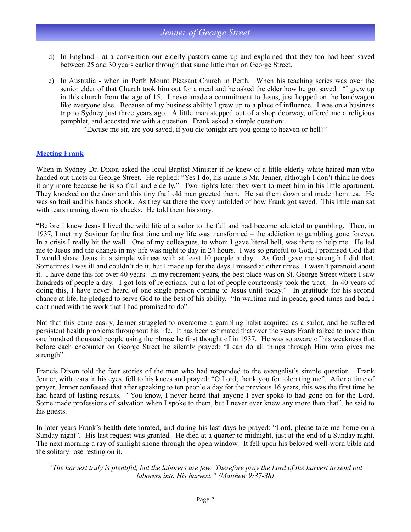- d) In England at a convention our elderly pastors came up and explained that they too had been saved between 25 and 30 years earlier through that same little man on George Street.
- e) In Australia when in Perth Mount Pleasant Church in Perth. When his teaching series was over the senior elder of that Church took him out for a meal and he asked the elder how he got saved. "I grew up in this church from the age of 15. I never made a commitment to Jesus, just hopped on the bandwagon like everyone else. Because of my business ability I grew up to a place of influence. I was on a business trip to Sydney just three years ago. A little man stepped out of a shop doorway, offered me a religious pamphlet, and accosted me with a question. Frank asked a simple question:

"Excuse me sir, are you saved, if you die tonight are you going to heaven or hell?"

### **Meeting Frank**

When in Sydney Dr. Dixon asked the local Baptist Minister if he knew of a little elderly white haired man who handed out tracts on George Street. He replied: "Yes I do, his name is Mr. Jenner, although I don't think he does it any more because he is so frail and elderly." Two nights later they went to meet him in his little apartment. They knocked on the door and this tiny frail old man greeted them. He sat them down and made them tea. He was so frail and his hands shook. As they sat there the story unfolded of how Frank got saved. This little man sat with tears running down his cheeks. He told them his story.

"Before I knew Jesus I lived the wild life of a sailor to the full and had become addicted to gambling. Then, in 1937, I met my Saviour for the first time and my life was transformed – the addiction to gambling gone forever. In a crisis I really hit the wall. One of my colleagues, to whom I gave literal hell, was there to help me. He led me to Jesus and the change in my life was night to day in 24 hours. I was so grateful to God, I promised God that I would share Jesus in a simple witness with at least 10 people a day. As God gave me strength I did that. Sometimes I was ill and couldn't do it, but I made up for the days I missed at other times. I wasn't paranoid about it. I have done this for over 40 years. In my retirement years, the best place was on St. George Street where I saw hundreds of people a day. I got lots of rejections, but a lot of people courteously took the tract. In 40 years of doing this, I have never heard of one single person coming to Jesus until today." In gratitude for his second chance at life, he pledged to serve God to the best of his ability. "In wartime and in peace, good times and bad, I continued with the work that I had promised to do".

Not that this came easily, Jenner struggled to overcome a gambling habit acquired as a sailor, and he suffered persistent health problems throughout his life. It has been estimated that over the years Frank talked to more than one hundred thousand people using the phrase he first thought of in 1937. He was so aware of his weakness that before each encounter on George Street he silently prayed: "I can do all things through Him who gives me strength".

Francis Dixon told the four stories of the men who had responded to the evangelist's simple question. Frank Jenner, with tears in his eyes, fell to his knees and prayed: "O Lord, thank you for tolerating me". After a time of prayer, Jenner confessed that after speaking to ten people a day for the previous 16 years, this was the first time he had heard of lasting results. "You know, I never heard that anyone I ever spoke to had gone on for the Lord. Some made professions of salvation when I spoke to them, but I never ever knew any more than that", he said to his guests.

In later years Frank's health deteriorated, and during his last days he prayed: "Lord, please take me home on a Sunday night". His last request was granted. He died at a quarter to midnight, just at the end of a Sunday night. The next morning a ray of sunlight shone through the open window. It fell upon his beloved well-worn bible and the solitary rose resting on it.

*"The harvest truly is plentiful, but the laborers are few. Therefore pray the Lord of the harvest to send out laborers into His harvest." (Matthew 9:37-38)*